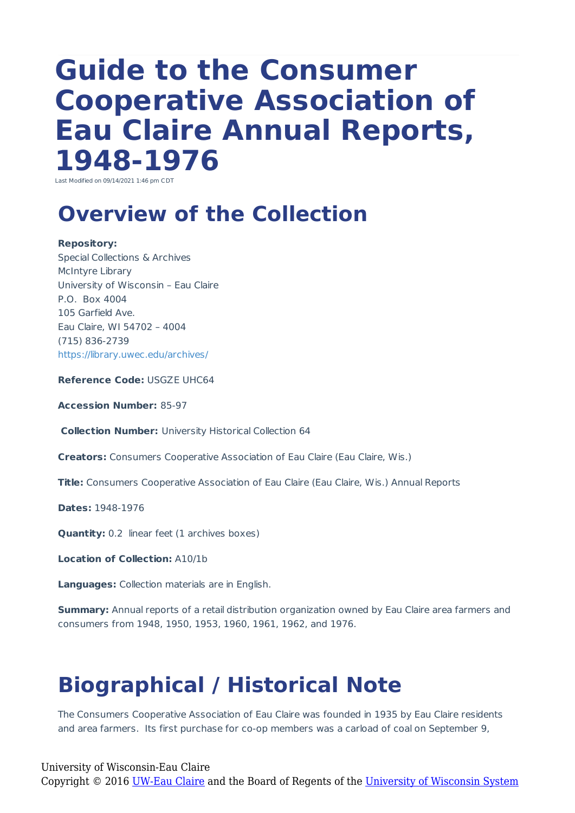# **Guide to the Consumer Cooperative Association of Eau Claire Annual Reports, 1948-1976**

Last Modified on 09/14/2021 1:46 pm CDT

### **Overview of the Collection**

**Repository:** Special Collections & Archives McIntyre Library University of Wisconsin – Eau Claire P.O. Box 4004 105 Garfield Ave. Eau Claire, WI 54702 – 4004 (715) 836-2739 https://library.uwec.edu/archives/

**Reference Code:** USGZE UHC64

**Accession Number:** 85-97

**Collection Number:** University Historical Collection 64

**Creators:** Consumers Cooperative Association of Eau Claire (Eau Claire, Wis.)

**Title:** Consumers Cooperative Association of Eau Claire (Eau Claire, Wis.) Annual Reports

**Dates:** 1948-1976

**Quantity:** 0.2 linear feet (1 archives boxes)

**Location of Collection:** A10/1b

**Languages:** Collection materials are in English.

**Summary:** Annual reports of a retail distribution organization owned by Eau Claire area farmers and consumers from 1948, 1950, 1953, 1960, 1961, 1962, and 1976.

# **Biographical / Historical Note**

The Consumers Cooperative Association of Eau Claire was founded in 1935 by Eau Claire residents and area farmers. Its first purchase for co-op members was a carload of coal on September 9,

University of Wisconsin-Eau Claire Copyright © 2016 [UW-Eau Claire](http://www.uwec.edu) and the Board of Regents of the [University of Wisconsin System](http://www.uwsa.edu/)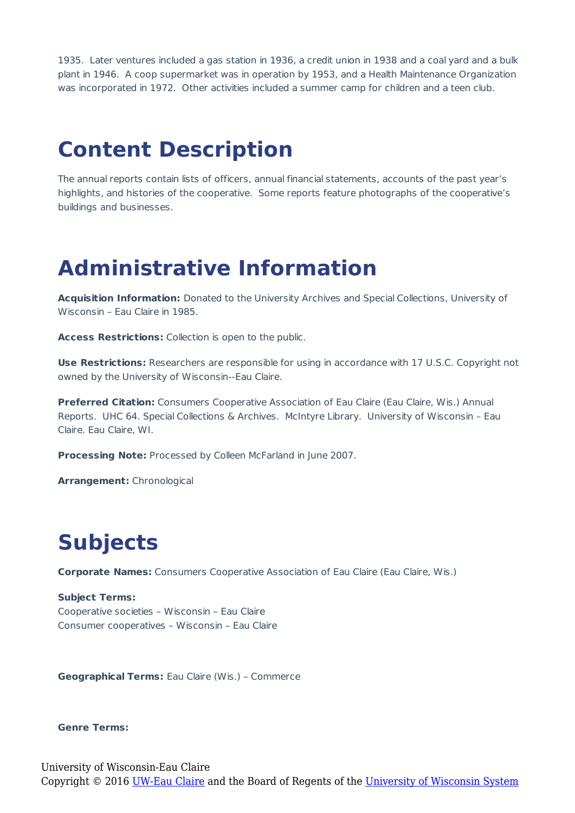1935. Later ventures included a gas station in 1936, a credit union in 1938 and a coal yard and a bulk plant in 1946. A coop supermarket was in operation by 1953, and a Health Maintenance Organization was incorporated in 1972. Other activities included a summer camp for children and a teen club.

#### **Content Description**

The annual reports contain lists of officers, annual financial statements, accounts of the past year's highlights, and histories of the cooperative. Some reports feature photographs of the cooperative's buildings and businesses.

#### **Administrative Information**

**Acquisition Information:** Donated to the University Archives and Special Collections, University of Wisconsin – Eau Claire in 1985.

**Access Restrictions:** Collection is open to the public.

**Use Restrictions:** Researchers are responsible for using in accordance with 17 U.S.C. Copyright not owned by the University of Wisconsin--Eau Claire.

**Preferred Citation:** Consumers Cooperative Association of Eau Claire (Eau Claire, Wis.) Annual Reports. UHC 64. Special Collections & Archives. McIntyre Library. University of Wisconsin – Eau Claire. Eau Claire, WI.

**Processing Note:** Processed by Colleen McFarland in June 2007.

**Arrangement:** Chronological

## **Subjects**

**Corporate Names:** Consumers Cooperative Association of Eau Claire (Eau Claire, Wis.)

**Subject Terms:** Cooperative societies – Wisconsin – Eau Claire Consumer cooperatives – Wisconsin – Eau Claire

**Geographical Terms:** Eau Claire (Wis.) – Commerce

#### **Genre Terms:**